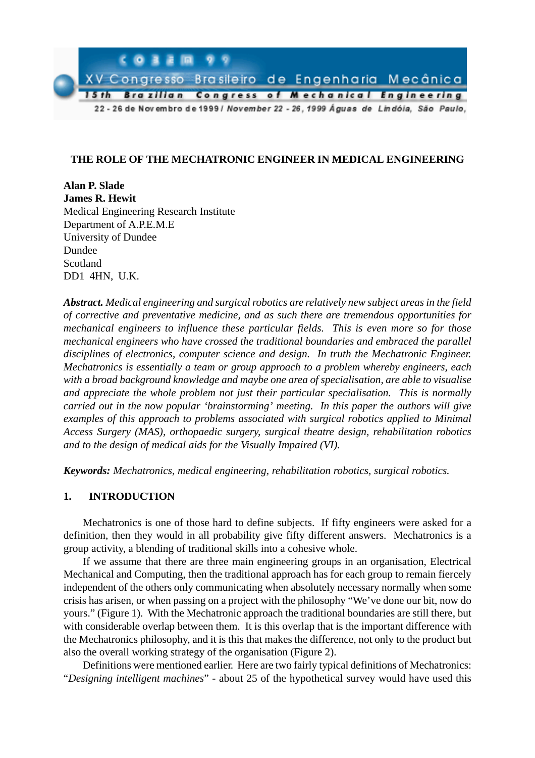

# **THE ROLE OF THE MECHATRONIC ENGINEER IN MEDICAL ENGINEERING**

**Alan P. Slade James R. Hewit** Medical Engineering Research Institute Department of A.P.E.M.E University of Dundee Dundee Scotland DD1 4HN, U.K.

*Abstract. Medical engineering and surgical robotics are relatively new subject areas in the field of corrective and preventative medicine, and as such there are tremendous opportunities for mechanical engineers to influence these particular fields. This is even more so for those mechanical engineers who have crossed the traditional boundaries and embraced the parallel disciplines of electronics, computer science and design. In truth the Mechatronic Engineer. Mechatronics is essentially a team or group approach to a problem whereby engineers, each with a broad background knowledge and maybe one area of specialisation, are able to visualise and appreciate the whole problem not just their particular specialisation. This is normally carried out in the now popular 'brainstorming' meeting. In this paper the authors will give examples of this approach to problems associated with surgical robotics applied to Minimal Access Surgery (MAS), orthopaedic surgery, surgical theatre design, rehabilitation robotics and to the design of medical aids for the Visually Impaired (VI).*

*Keywords: Mechatronics, medical engineering, rehabilitation robotics, surgical robotics.*

## **1. INTRODUCTION**

Mechatronics is one of those hard to define subjects. If fifty engineers were asked for a definition, then they would in all probability give fifty different answers. Mechatronics is a group activity, a blending of traditional skills into a cohesive whole.

If we assume that there are three main engineering groups in an organisation, Electrical Mechanical and Computing, then the traditional approach has for each group to remain fiercely independent of the others only communicating when absolutely necessary normally when some crisis has arisen, or when passing on a project with the philosophy "We've done our bit, now do yours." (Figure 1). With the Mechatronic approach the traditional boundaries are still there, but with considerable overlap between them. It is this overlap that is the important difference with the Mechatronics philosophy, and it is this that makes the difference, not only to the product but also the overall working strategy of the organisation (Figure 2).

Definitions were mentioned earlier. Here are two fairly typical definitions of Mechatronics: "*Designing intelligent machines*" - about 25 of the hypothetical survey would have used this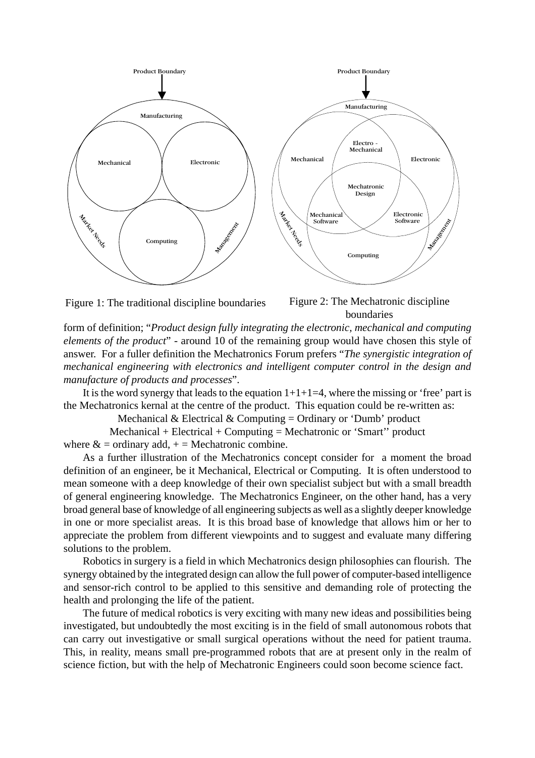



boundaries

form of definition; "*Product design fully integrating the electronic, mechanical and computing elements of the product*" - around 10 of the remaining group would have chosen this style of answer. For a fuller definition the Mechatronics Forum prefers "*The synergistic integration of mechanical engineering with electronics and intelligent computer control in the design and manufacture of products and processes*".

It is the word synergy that leads to the equation  $1+1+1=4$ , where the missing or 'free' part is the Mechatronics kernal at the centre of the product. This equation could be re-written as:

Mechanical & Electrical & Computing = Ordinary or 'Dumb' product

Mechanical + Electrical + Computing = Mechatronic or 'Smart'' product where  $\&$  = ordinary add,  $+$  = Mechatronic combine.

As a further illustration of the Mechatronics concept consider for a moment the broad definition of an engineer, be it Mechanical, Electrical or Computing. It is often understood to mean someone with a deep knowledge of their own specialist subject but with a small breadth of general engineering knowledge. The Mechatronics Engineer, on the other hand, has a very broad general base of knowledge of all engineering subjects as well as a slightly deeper knowledge in one or more specialist areas. It is this broad base of knowledge that allows him or her to appreciate the problem from different viewpoints and to suggest and evaluate many differing solutions to the problem.

Robotics in surgery is a field in which Mechatronics design philosophies can flourish. The synergy obtained by the integrated design can allow the full power of computer-based intelligence and sensor-rich control to be applied to this sensitive and demanding role of protecting the health and prolonging the life of the patient.

The future of medical robotics is very exciting with many new ideas and possibilities being investigated, but undoubtedly the most exciting is in the field of small autonomous robots that can carry out investigative or small surgical operations without the need for patient trauma. This, in reality, means small pre-programmed robots that are at present only in the realm of science fiction, but with the help of Mechatronic Engineers could soon become science fact.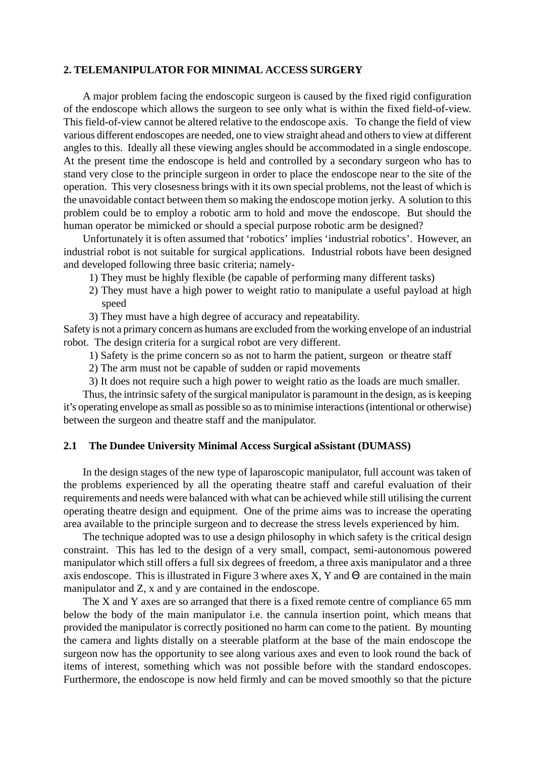### **2. TELEMANIPULATOR FOR MINIMAL ACCESS SURGERY**

A major problem facing the endoscopic surgeon is caused by the fixed rigid configuration of the endoscope which allows the surgeon to see only what is within the fixed field-of-view. This field-of-view cannot be altered relative to the endoscope axis. To change the field of view various different endoscopes are needed, one to view straight ahead and others to view at different angles to this. Ideally all these viewing angles should be accommodated in a single endoscope. At the present time the endoscope is held and controlled by a secondary surgeon who has to stand very close to the principle surgeon in order to place the endoscope near to the site of the operation. This very closesness brings with it its own special problems, not the least of which is the unavoidable contact between them so making the endoscope motion jerky. A solution to this problem could be to employ a robotic arm to hold and move the endoscope. But should the human operator be mimicked or should a special purpose robotic arm be designed?

Unfortunately it is often assumed that 'robotics' implies 'industrial robotics'. However, an industrial robot is not suitable for surgical applications. Industrial robots have been designed and developed following three basic criteria; namely-

- 1) They must be highly flexible (be capable of performing many different tasks)
- 2) They must have a high power to weight ratio to manipulate a useful payload at high speed
- 3) They must have a high degree of accuracy and repeatability.

Safety is not a primary concern as humans are excluded from the working envelope of an industrial robot. The design criteria for a surgical robot are very different.

- 1) Safety is the prime concern so as not to harm the patient, surgeon or theatre staff
- 2) The arm must not be capable of sudden or rapid movements
- 3) It does not require such a high power to weight ratio as the loads are much smaller.

Thus, the intrinsic safety of the surgical manipulator is paramount in the design, as is keeping it's operating envelope as small as possible so as to minimise interactions (intentional or otherwise) between the surgeon and theatre staff and the manipulator.

#### **2.1 The Dundee University Minimal Access Surgical aSsistant (DUMASS)**

In the design stages of the new type of laparoscopic manipulator, full account was taken of the problems experienced by all the operating theatre staff and careful evaluation of their requirements and needs were balanced with what can be achieved while still utilising the current operating theatre design and equipment. One of the prime aims was to increase the operating area available to the principle surgeon and to decrease the stress levels experienced by him.

The technique adopted was to use a design philosophy in which safety is the critical design constraint. This has led to the design of a very small, compact, semi-autonomous powered manipulator which still offers a full six degrees of freedom, a three axis manipulator and a three axis endoscope. This is illustrated in Figure 3 where axes X, Y and  $\Theta$  are contained in the main manipulator and Z, x and y are contained in the endoscope.

The X and Y axes are so arranged that there is a fixed remote centre of compliance 65 mm below the body of the main manipulator i.e. the cannula insertion point, which means that provided the manipulator is correctly positioned no harm can come to the patient. By mounting the camera and lights distally on a steerable platform at the base of the main endoscope the surgeon now has the opportunity to see along various axes and even to look round the back of items of interest, something which was not possible before with the standard endoscopes. Furthermore, the endoscope is now held firmly and can be moved smoothly so that the picture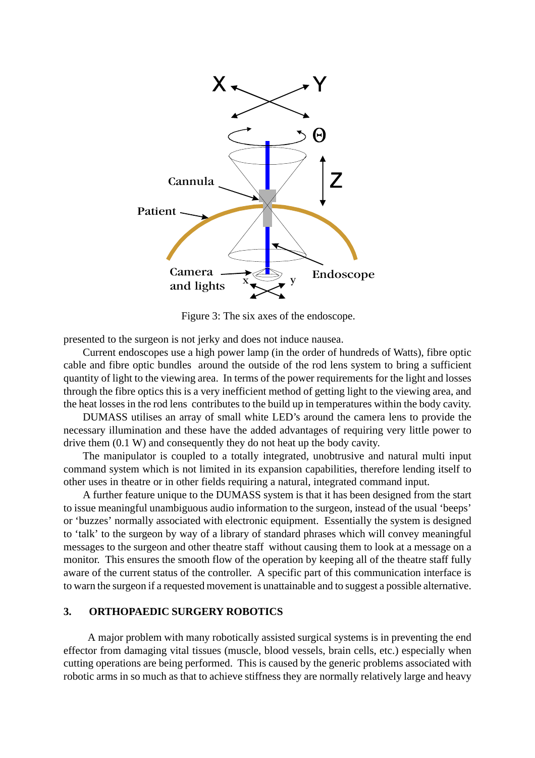

Figure 3: The six axes of the endoscope.

presented to the surgeon is not jerky and does not induce nausea.

Current endoscopes use a high power lamp (in the order of hundreds of Watts), fibre optic cable and fibre optic bundles around the outside of the rod lens system to bring a sufficient quantity of light to the viewing area. In terms of the power requirements for the light and losses through the fibre optics this is a very inefficient method of getting light to the viewing area, and the heat losses in the rod lens contributes to the build up in temperatures within the body cavity.

DUMASS utilises an array of small white LED's around the camera lens to provide the necessary illumination and these have the added advantages of requiring very little power to drive them (0.1 W) and consequently they do not heat up the body cavity.

The manipulator is coupled to a totally integrated, unobtrusive and natural multi input command system which is not limited in its expansion capabilities, therefore lending itself to other uses in theatre or in other fields requiring a natural, integrated command input.

A further feature unique to the DUMASS system is that it has been designed from the start to issue meaningful unambiguous audio information to the surgeon, instead of the usual 'beeps' or 'buzzes' normally associated with electronic equipment. Essentially the system is designed to 'talk' to the surgeon by way of a library of standard phrases which will convey meaningful messages to the surgeon and other theatre staff without causing them to look at a message on a monitor. This ensures the smooth flow of the operation by keeping all of the theatre staff fully aware of the current status of the controller. A specific part of this communication interface is to warn the surgeon if a requested movement is unattainable and to suggest a possible alternative.

## **3. ORTHOPAEDIC SURGERY ROBOTICS**

 A major problem with many robotically assisted surgical systems is in preventing the end effector from damaging vital tissues (muscle, blood vessels, brain cells, etc.) especially when cutting operations are being performed. This is caused by the generic problems associated with robotic arms in so much as that to achieve stiffness they are normally relatively large and heavy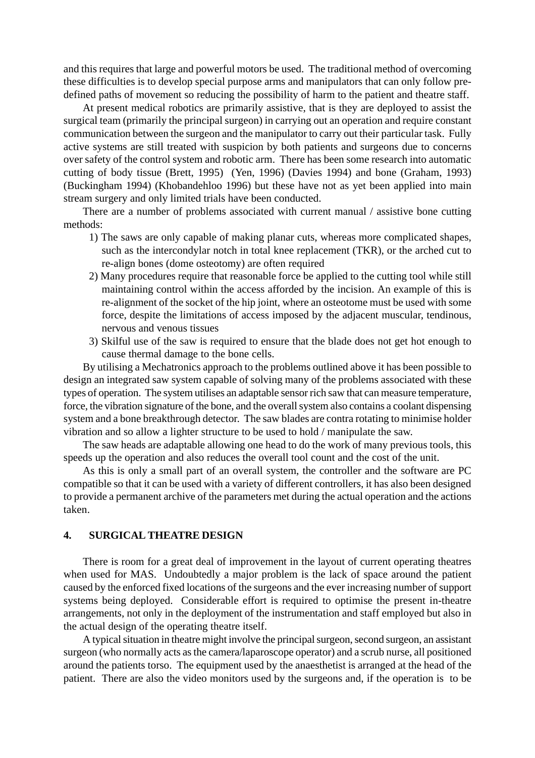and this requires that large and powerful motors be used. The traditional method of overcoming these difficulties is to develop special purpose arms and manipulators that can only follow predefined paths of movement so reducing the possibility of harm to the patient and theatre staff.

At present medical robotics are primarily assistive, that is they are deployed to assist the surgical team (primarily the principal surgeon) in carrying out an operation and require constant communication between the surgeon and the manipulator to carry out their particular task. Fully active systems are still treated with suspicion by both patients and surgeons due to concerns over safety of the control system and robotic arm. There has been some research into automatic cutting of body tissue (Brett, 1995) (Yen, 1996) (Davies 1994) and bone (Graham, 1993) (Buckingham 1994) (Khobandehloo 1996) but these have not as yet been applied into main stream surgery and only limited trials have been conducted.

There are a number of problems associated with current manual / assistive bone cutting methods:

- 1) The saws are only capable of making planar cuts, whereas more complicated shapes, such as the intercondylar notch in total knee replacement (TKR), or the arched cut to re-align bones (dome osteotomy) are often required
- 2) Many procedures require that reasonable force be applied to the cutting tool while still maintaining control within the access afforded by the incision. An example of this is re-alignment of the socket of the hip joint, where an osteotome must be used with some force, despite the limitations of access imposed by the adjacent muscular, tendinous, nervous and venous tissues
- 3) Skilful use of the saw is required to ensure that the blade does not get hot enough to cause thermal damage to the bone cells.

By utilising a Mechatronics approach to the problems outlined above it has been possible to design an integrated saw system capable of solving many of the problems associated with these types of operation. The system utilises an adaptable sensor rich saw that can measure temperature, force, the vibration signature of the bone, and the overall system also contains a coolant dispensing system and a bone breakthrough detector. The saw blades are contra rotating to minimise holder vibration and so allow a lighter structure to be used to hold / manipulate the saw.

The saw heads are adaptable allowing one head to do the work of many previous tools, this speeds up the operation and also reduces the overall tool count and the cost of the unit.

As this is only a small part of an overall system, the controller and the software are PC compatible so that it can be used with a variety of different controllers, it has also been designed to provide a permanent archive of the parameters met during the actual operation and the actions taken.

### **4. SURGICAL THEATRE DESIGN**

There is room for a great deal of improvement in the layout of current operating theatres when used for MAS. Undoubtedly a major problem is the lack of space around the patient caused by the enforced fixed locations of the surgeons and the ever increasing number of support systems being deployed. Considerable effort is required to optimise the present in-theatre arrangements, not only in the deployment of the instrumentation and staff employed but also in the actual design of the operating theatre itself.

A typical situation in theatre might involve the principal surgeon, second surgeon, an assistant surgeon (who normally acts as the camera/laparoscope operator) and a scrub nurse, all positioned around the patients torso. The equipment used by the anaesthetist is arranged at the head of the patient. There are also the video monitors used by the surgeons and, if the operation is to be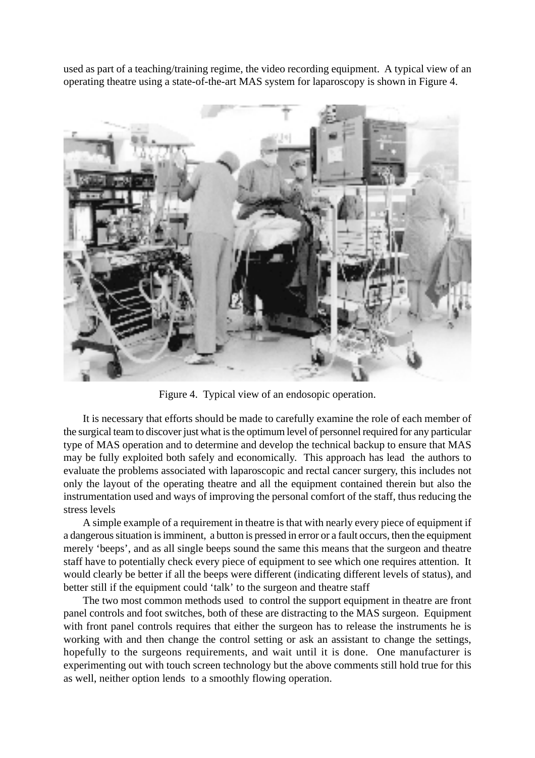used as part of a teaching/training regime, the video recording equipment. A typical view of an operating theatre using a state-of-the-art MAS system for laparoscopy is shown in Figure 4.



Figure 4. Typical view of an endosopic operation.

It is necessary that efforts should be made to carefully examine the role of each member of the surgical team to discover just what is the optimum level of personnel required for any particular type of MAS operation and to determine and develop the technical backup to ensure that MAS may be fully exploited both safely and economically. This approach has lead the authors to evaluate the problems associated with laparoscopic and rectal cancer surgery, this includes not only the layout of the operating theatre and all the equipment contained therein but also the instrumentation used and ways of improving the personal comfort of the staff, thus reducing the stress levels

A simple example of a requirement in theatre is that with nearly every piece of equipment if a dangerous situation is imminent, a button is pressed in error or a fault occurs, then the equipment merely 'beeps', and as all single beeps sound the same this means that the surgeon and theatre staff have to potentially check every piece of equipment to see which one requires attention. It would clearly be better if all the beeps were different (indicating different levels of status), and better still if the equipment could 'talk' to the surgeon and theatre staff

The two most common methods used to control the support equipment in theatre are front panel controls and foot switches, both of these are distracting to the MAS surgeon. Equipment with front panel controls requires that either the surgeon has to release the instruments he is working with and then change the control setting or ask an assistant to change the settings, hopefully to the surgeons requirements, and wait until it is done. One manufacturer is experimenting out with touch screen technology but the above comments still hold true for this as well, neither option lends to a smoothly flowing operation.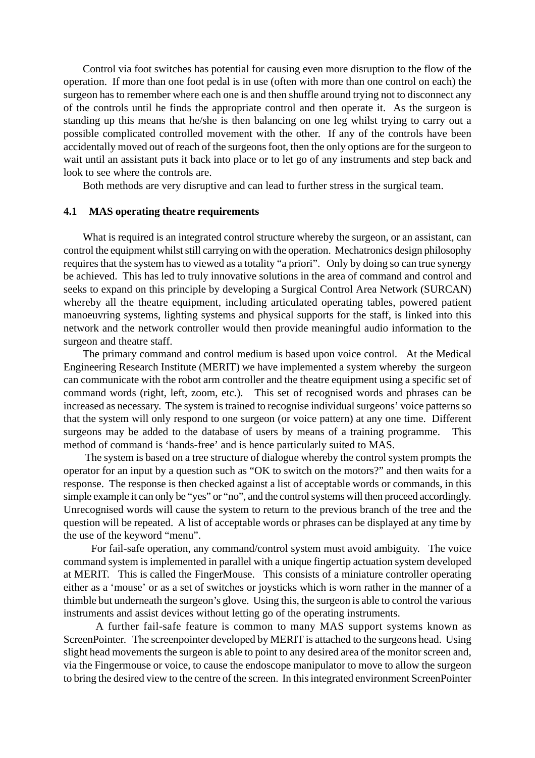Control via foot switches has potential for causing even more disruption to the flow of the operation. If more than one foot pedal is in use (often with more than one control on each) the surgeon has to remember where each one is and then shuffle around trying not to disconnect any of the controls until he finds the appropriate control and then operate it. As the surgeon is standing up this means that he/she is then balancing on one leg whilst trying to carry out a possible complicated controlled movement with the other. If any of the controls have been accidentally moved out of reach of the surgeons foot, then the only options are for the surgeon to wait until an assistant puts it back into place or to let go of any instruments and step back and look to see where the controls are.

Both methods are very disruptive and can lead to further stress in the surgical team.

### **4.1 MAS operating theatre requirements**

What is required is an integrated control structure whereby the surgeon, or an assistant, can control the equipment whilst still carrying on with the operation. Mechatronics design philosophy requires that the system has to viewed as a totality "a priori". Only by doing so can true synergy be achieved. This has led to truly innovative solutions in the area of command and control and seeks to expand on this principle by developing a Surgical Control Area Network (SURCAN) whereby all the theatre equipment, including articulated operating tables, powered patient manoeuvring systems, lighting systems and physical supports for the staff, is linked into this network and the network controller would then provide meaningful audio information to the surgeon and theatre staff.

The primary command and control medium is based upon voice control. At the Medical Engineering Research Institute (MERIT) we have implemented a system whereby the surgeon can communicate with the robot arm controller and the theatre equipment using a specific set of command words (right, left, zoom, etc*.*). This set of recognised words and phrases can be increased as necessary. The system is trained to recognise individual surgeons' voice patterns so that the system will only respond to one surgeon (or voice pattern) at any one time. Different surgeons may be added to the database of users by means of a training programme. This method of command is 'hands-free' and is hence particularly suited to MAS.

 The system is based on a tree structure of dialogue whereby the control system prompts the operator for an input by a question such as "OK to switch on the motors?" and then waits for a response. The response is then checked against a list of acceptable words or commands, in this simple example it can only be "yes" or "no", and the control systems will then proceed accordingly. Unrecognised words will cause the system to return to the previous branch of the tree and the question will be repeated. A list of acceptable words or phrases can be displayed at any time by the use of the keyword "menu".

 For fail-safe operation, any command/control system must avoid ambiguity. The voice command system is implemented in parallel with a unique fingertip actuation system developed at MERIT. This is called the FingerMouse. This consists of a miniature controller operating either as a 'mouse' or as a set of switches or joysticks which is worn rather in the manner of a thimble but underneath the surgeon's glove. Using this, the surgeon is able to control the various instruments and assist devices without letting go of the operating instruments.

 A further fail-safe feature is common to many MAS support systems known as ScreenPointer. The screenpointer developed by MERIT is attached to the surgeons head. Using slight head movements the surgeon is able to point to any desired area of the monitor screen and, via the Fingermouse or voice, to cause the endoscope manipulator to move to allow the surgeon to bring the desired view to the centre of the screen. In this integrated environment ScreenPointer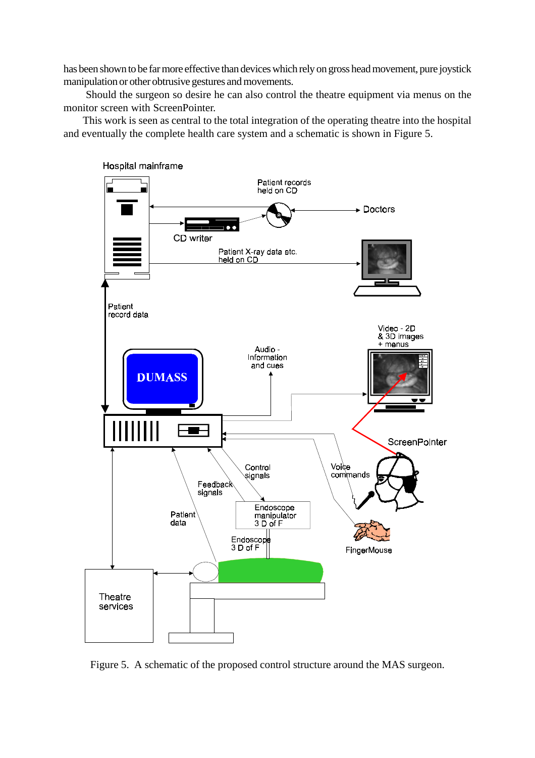has been shown to be far more effective than devices which rely on gross head movement, pure joystick manipulation or other obtrusive gestures and movements.

 Should the surgeon so desire he can also control the theatre equipment via menus on the monitor screen with ScreenPointer.

This work is seen as central to the total integration of the operating theatre into the hospital and eventually the complete health care system and a schematic is shown in Figure 5.



Figure 5. A schematic of the proposed control structure around the MAS surgeon.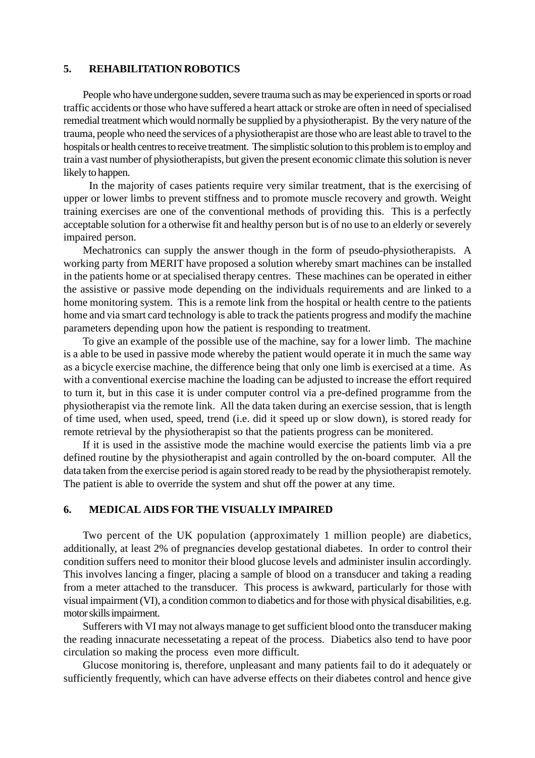#### **5. REHABILITATION ROBOTICS**

People who have undergone sudden, severe trauma such as may be experienced in sports or road traffic accidents or those who have suffered a heart attack or stroke are often in need of specialised remedial treatment which would normally be supplied by a physiotherapist. By the very nature of the trauma, people who need the services of a physiotherapist are those who are least able to travel to the hospitals or health centres to receive treatment. The simplistic solution to this problem is to employ and train a vast number of physiotherapists, but given the present economic climate this solution is never likely to happen.

 In the majority of cases patients require very similar treatment, that is the exercising of upper or lower limbs to prevent stiffness and to promote muscle recovery and growth. Weight training exercises are one of the conventional methods of providing this. This is a perfectly acceptable solution for a otherwise fit and healthy person but is of no use to an elderly or severely impaired person.

Mechatronics can supply the answer though in the form of pseudo-physiotherapists. A working party from MERIT have proposed a solution whereby smart machines can be installed in the patients home or at specialised therapy centres. These machines can be operated in either the assistive or passive mode depending on the individuals requirements and are linked to a home monitoring system. This is a remote link from the hospital or health centre to the patients home and via smart card technology is able to track the patients progress and modify the machine parameters depending upon how the patient is responding to treatment.

To give an example of the possible use of the machine, say for a lower limb. The machine is a able to be used in passive mode whereby the patient would operate it in much the same way as a bicycle exercise machine, the difference being that only one limb is exercised at a time. As with a conventional exercise machine the loading can be adjusted to increase the effort required to turn it, but in this case it is under computer control via a pre-defined programme from the physiotherapist via the remote link. All the data taken during an exercise session, that is length of time used, when used, speed, trend (i.e. did it speed up or slow down), is stored ready for remote retrieval by the physiotherapist so that the patients progress can be monitered.

If it is used in the assistive mode the machine would exercise the patients limb via a pre defined routine by the physiotherapist and again controlled by the on-board computer. All the data taken from the exercise period is again stored ready to be read by the physiotherapist remotely. The patient is able to override the system and shut off the power at any time.

## **6. MEDICAL AIDS FOR THE VISUALLY IMPAIRED**

Two percent of the UK population (approximately 1 million people) are diabetics, additionally, at least 2% of pregnancies develop gestational diabetes. In order to control their condition suffers need to monitor their blood glucose levels and administer insulin accordingly. This involves lancing a finger, placing a sample of blood on a transducer and taking a reading from a meter attached to the transducer. This process is awkward, particularly for those with visual impairment (VI), a condition common to diabetics and for those with physical disabilities, e.g. motor skills impairment.

Sufferers with VI may not always manage to get sufficient blood onto the transducer making the reading innacurate necessetating a repeat of the process. Diabetics also tend to have poor circulation so making the process even more difficult.

Glucose monitoring is, therefore, unpleasant and many patients fail to do it adequately or sufficiently frequently, which can have adverse effects on their diabetes control and hence give